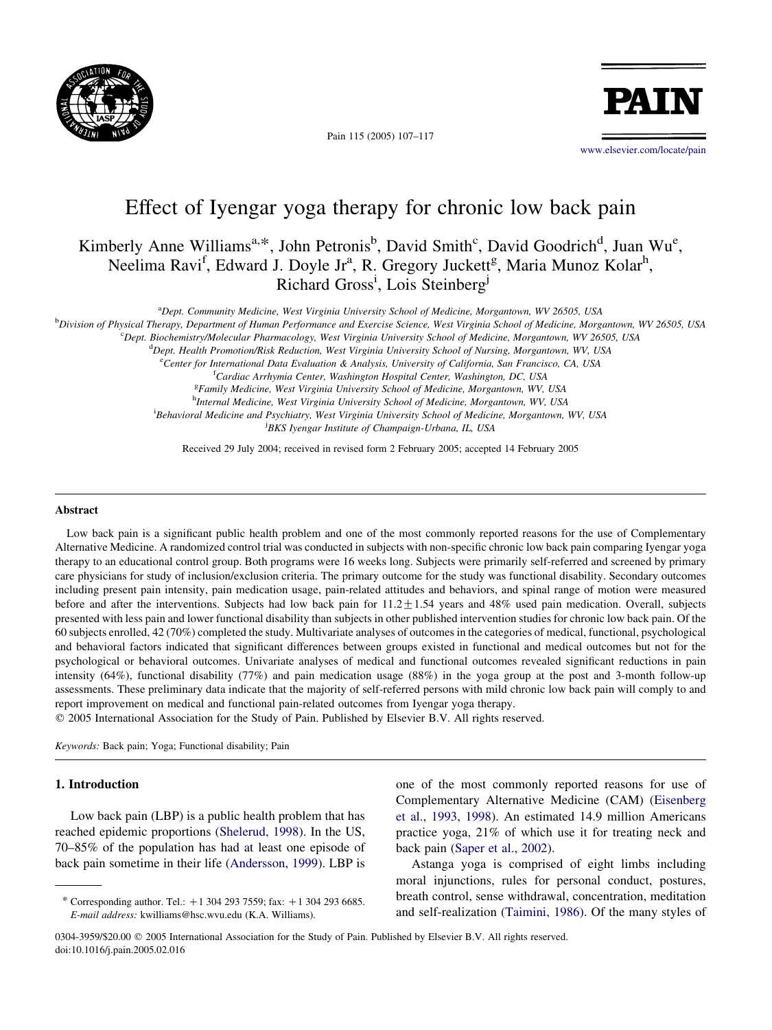

Pain 115 (2005) 107–117



[www.elsevier.com/locate/pain](http://www.elsevier.com/locate/pain)

# Effect of Iyengar yoga therapy for chronic low back pain

## Kimberly Anne Williams<sup>a,\*</sup>, John Petronis<sup>b</sup>, David Smith<sup>c</sup>, David Goodrich<sup>d</sup>, Juan Wu<sup>e</sup>, Neelima Ravi<sup>f</sup>, Edward J. Doyle Jr<sup>a</sup>, R. Gregory Juckett<sup>g</sup>, Maria Munoz Kolar<sup>h</sup>, Richard Gross<sup>i</sup>, Lois Steinberg<sup>j</sup>

<sup>a</sup>Dept. Community Medicine, West Virginia University School of Medicine, Morgantown, WV 26505, USA

b Division of Physical Therapy, Department of Human Performance and Exercise Science, West Virginia School of Medicine, Morgantown, WV 26505, USA

c Dept. Biochemistry/Molecular Pharmacology, West Virginia University School of Medicine, Morgantown, WV 26505, USA

<sup>d</sup>Dept. Health Promotion/Risk Reduction, West Virginia University School of Nursing, Morgantown, WV, USA

e<br>Center for International Data Evaluation & Analysis, University of California, San Francisco, CA, USA

<sup>f</sup>Cardiac Arrhymia Center, Washington Hospital Center, Washington, DC, USA

<sup>g</sup>Family Medicine, West Virginia University School of Medicine, Morgantown, WV, USA <sup>h</sup>Internal Medicine, West Virginia University School of Medicine, Morgantown, WV, USA <sup>i</sup> Behavioral Medicine and Psychiatry, West Virginia University School of Medicine, Morgantown, WV, USA j BKS Iyengar Institute of Champaign-Urbana, IL, USA

Received 29 July 2004; received in revised form 2 February 2005; accepted 14 February 2005

## Abstract

Low back pain is a significant public health problem and one of the most commonly reported reasons for the use of Complementary Alternative Medicine. A randomized control trial was conducted in subjects with non-specific chronic low back pain comparing Iyengar yoga therapy to an educational control group. Both programs were 16 weeks long. Subjects were primarily self-referred and screened by primary care physicians for study of inclusion/exclusion criteria. The primary outcome for the study was functional disability. Secondary outcomes including present pain intensity, pain medication usage, pain-related attitudes and behaviors, and spinal range of motion were measured before and after the interventions. Subjects had low back pain for  $11.2 \pm 1.54$  years and 48% used pain medication. Overall, subjects presented with less pain and lower functional disability than subjects in other published intervention studies for chronic low back pain. Of the 60 subjects enrolled, 42 (70%) completed the study. Multivariate analyses of outcomes in the categories of medical, functional, psychological and behavioral factors indicated that significant differences between groups existed in functional and medical outcomes but not for the psychological or behavioral outcomes. Univariate analyses of medical and functional outcomes revealed significant reductions in pain intensity (64%), functional disability (77%) and pain medication usage (88%) in the yoga group at the post and 3-month follow-up assessments. These preliminary data indicate that the majority of self-referred persons with mild chronic low back pain will comply to and report improvement on medical and functional pain-related outcomes from Iyengar yoga therapy.

 $Q$  2005 International Association for the Study of Pain. Published by Elsevier B.V. All rights reserved.

Keywords: Back pain; Yoga; Functional disability; Pain

#### 1. Introduction

Low back pain (LBP) is a public health problem that has reached epidemic proportions [\(Shelerud, 1998\)](#page-10-0). In the US, 70–85% of the population has had at least one episode of back pain sometime in their life [\(Andersson, 1999](#page-9-0)). LBP is one of the most commonly reported reasons for use of Complementary Alternative Medicine (CAM) ([Eisenberg](#page-9-0) [et al., 1993, 1998](#page-9-0)). An estimated 14.9 million Americans practice yoga, 21% of which use it for treating neck and back pain [\(Saper et al., 2002](#page-10-0)).

Astanga yoga is comprised of eight limbs including moral injunctions, rules for personal conduct, postures, breath control, sense withdrawal, concentration, meditation and self-realization ([Taimini, 1986](#page-10-0)). Of the many styles of

0304-3959/\$20.00 q 2005 International Association for the Study of Pain. Published by Elsevier B.V. All rights reserved. doi:10.1016/j.pain.2005.02.016

<sup>\*</sup> Corresponding author. Tel.:  $+1$  304 293 7559; fax:  $+1$  304 293 6685. E-mail address: kwilliams@hsc.wvu.edu (K.A. Williams).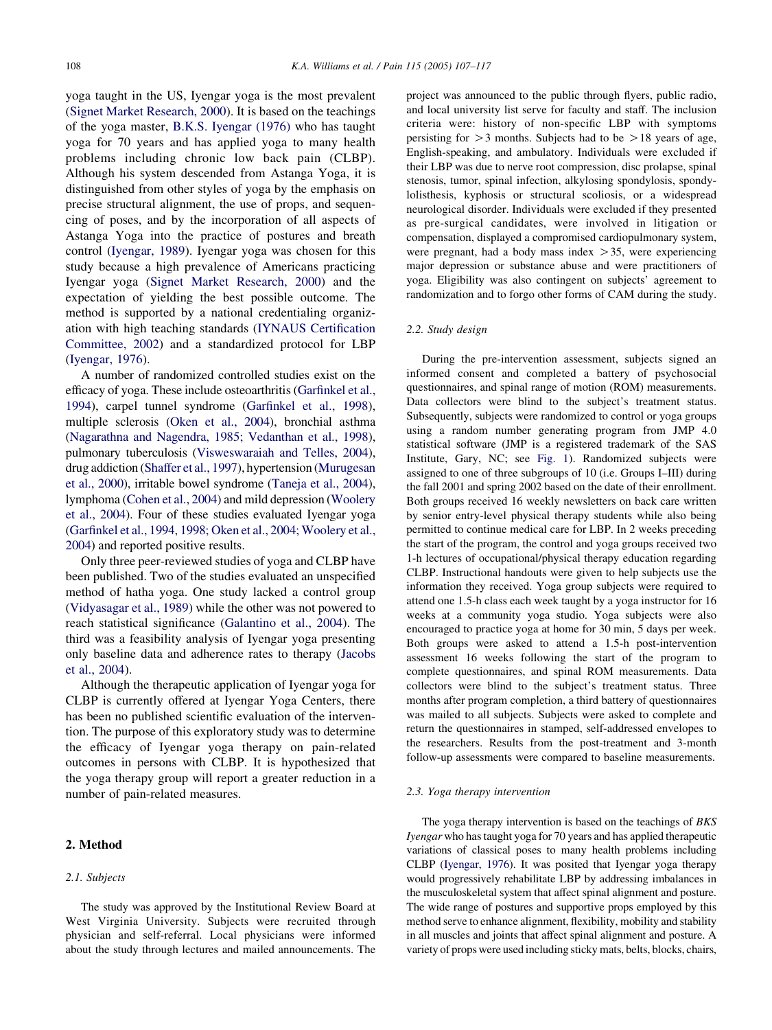yoga taught in the US, Iyengar yoga is the most prevalent ([Signet Market Research, 2000\)](#page-10-0). It is based on the teachings of the yoga master, [B.K.S. Iyengar \(1976\)](#page-9-0) who has taught yoga for 70 years and has applied yoga to many health problems including chronic low back pain (CLBP). Although his system descended from Astanga Yoga, it is distinguished from other styles of yoga by the emphasis on precise structural alignment, the use of props, and sequencing of poses, and by the incorporation of all aspects of Astanga Yoga into the practice of postures and breath control ([Iyengar, 1989\)](#page-9-0). Iyengar yoga was chosen for this study because a high prevalence of Americans practicing Iyengar yoga ([Signet Market Research, 2000\)](#page-10-0) and the expectation of yielding the best possible outcome. The method is supported by a national credentialing organization with high teaching standards ([IYNAUS Certification](#page-9-0) [Committee, 2002\)](#page-9-0) and a standardized protocol for LBP ([Iyengar, 1976\)](#page-9-0).

A number of randomized controlled studies exist on the efficacy of yoga. These include osteoarthritis ([Garfinkel et al.,](#page-9-0) [1994](#page-9-0)), carpel tunnel syndrome [\(Garfinkel et al., 1998\)](#page-9-0), multiple sclerosis [\(Oken et al., 2004](#page-10-0)), bronchial asthma ([Nagarathna and Nagendra, 1985; Vedanthan et al., 1998](#page-10-0)), pulmonary tuberculosis ([Visweswaraiah and Telles, 2004](#page-10-0)), drug addiction [\(Shaffer et al., 1997](#page-10-0)), hypertension ([Murugesan](#page-9-0) [et al., 2000](#page-9-0)), irritable bowel syndrome ([Taneja et al., 2004](#page-10-0)), lymphoma ([Cohen et al., 2004](#page-9-0)) and mild depression [\(Woolery](#page-10-0) [et al., 2004\)](#page-10-0). Four of these studies evaluated Iyengar yoga ([Garfinkel et al., 1994, 1998; Oken et al., 2004; Woolery et al.,](#page-9-0) [2004](#page-9-0)) and reported positive results.

Only three peer-reviewed studies of yoga and CLBP have been published. Two of the studies evaluated an unspecified method of hatha yoga. One study lacked a control group ([Vidyasagar et al., 1989\)](#page-10-0) while the other was not powered to reach statistical significance [\(Galantino et al., 2004](#page-9-0)). The third was a feasibility analysis of Iyengar yoga presenting only baseline data and adherence rates to therapy [\(Jacobs](#page-9-0) [et al., 2004](#page-9-0)).

Although the therapeutic application of Iyengar yoga for CLBP is currently offered at Iyengar Yoga Centers, there has been no published scientific evaluation of the intervention. The purpose of this exploratory study was to determine the efficacy of Iyengar yoga therapy on pain-related outcomes in persons with CLBP. It is hypothesized that the yoga therapy group will report a greater reduction in a number of pain-related measures.

## 2. Method

#### 2.1. Subjects

The study was approved by the Institutional Review Board at West Virginia University. Subjects were recruited through physician and self-referral. Local physicians were informed about the study through lectures and mailed announcements. The

project was announced to the public through flyers, public radio, and local university list serve for faculty and staff. The inclusion criteria were: history of non-specific LBP with symptoms persisting for  $>$  3 months. Subjects had to be  $>$  18 years of age, English-speaking, and ambulatory. Individuals were excluded if their LBP was due to nerve root compression, disc prolapse, spinal stenosis, tumor, spinal infection, alkylosing spondylosis, spondylolisthesis, kyphosis or structural scoliosis, or a widespread neurological disorder. Individuals were excluded if they presented as pre-surgical candidates, were involved in litigation or compensation, displayed a compromised cardiopulmonary system, were pregnant, had a body mass index  $>$  35, were experiencing major depression or substance abuse and were practitioners of yoga. Eligibility was also contingent on subjects' agreement to randomization and to forgo other forms of CAM during the study.

## 2.2. Study design

During the pre-intervention assessment, subjects signed an informed consent and completed a battery of psychosocial questionnaires, and spinal range of motion (ROM) measurements. Data collectors were blind to the subject's treatment status. Subsequently, subjects were randomized to control or yoga groups using a random number generating program from JMP 4.0 statistical software (JMP is a registered trademark of the SAS Institute, Gary, NC; see [Fig. 1\)](#page-2-0). Randomized subjects were assigned to one of three subgroups of 10 (i.e. Groups I–III) during the fall 2001 and spring 2002 based on the date of their enrollment. Both groups received 16 weekly newsletters on back care written by senior entry-level physical therapy students while also being permitted to continue medical care for LBP. In 2 weeks preceding the start of the program, the control and yoga groups received two 1-h lectures of occupational/physical therapy education regarding CLBP. Instructional handouts were given to help subjects use the information they received. Yoga group subjects were required to attend one 1.5-h class each week taught by a yoga instructor for 16 weeks at a community yoga studio. Yoga subjects were also encouraged to practice yoga at home for 30 min, 5 days per week. Both groups were asked to attend a 1.5-h post-intervention assessment 16 weeks following the start of the program to complete questionnaires, and spinal ROM measurements. Data collectors were blind to the subject's treatment status. Three months after program completion, a third battery of questionnaires was mailed to all subjects. Subjects were asked to complete and return the questionnaires in stamped, self-addressed envelopes to the researchers. Results from the post-treatment and 3-month follow-up assessments were compared to baseline measurements.

#### 2.3. Yoga therapy intervention

The yoga therapy intervention is based on the teachings of BKS Iyengar who has taught yoga for 70 years and has applied therapeutic variations of classical poses to many health problems including CLBP [\(Iyengar, 1976\)](#page-9-0). It was posited that Iyengar yoga therapy would progressively rehabilitate LBP by addressing imbalances in the musculoskeletal system that affect spinal alignment and posture. The wide range of postures and supportive props employed by this method serve to enhance alignment, flexibility, mobility and stability in all muscles and joints that affect spinal alignment and posture. A variety of props were used including sticky mats, belts, blocks, chairs,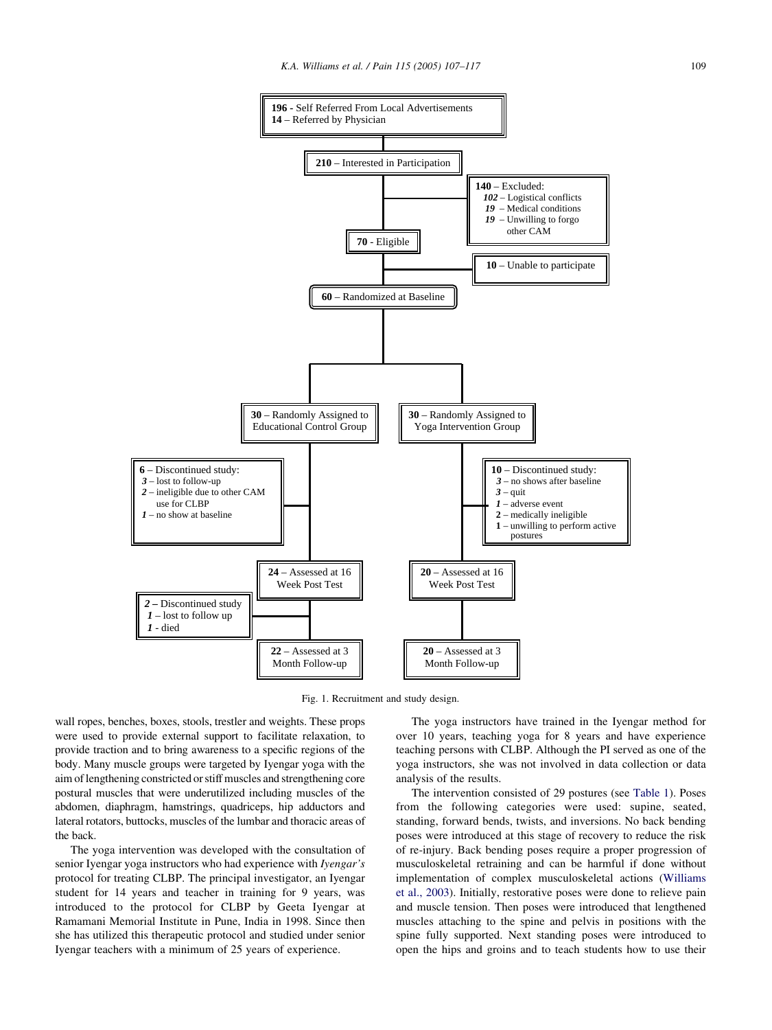<span id="page-2-0"></span>

Fig. 1. Recruitment and study design.

wall ropes, benches, boxes, stools, trestler and weights. These props were used to provide external support to facilitate relaxation, to provide traction and to bring awareness to a specific regions of the body. Many muscle groups were targeted by Iyengar yoga with the aim of lengthening constricted or stiff muscles and strengthening core postural muscles that were underutilized including muscles of the abdomen, diaphragm, hamstrings, quadriceps, hip adductors and lateral rotators, buttocks, muscles of the lumbar and thoracic areas of the back.

The yoga intervention was developed with the consultation of senior Iyengar yoga instructors who had experience with Iyengar's protocol for treating CLBP. The principal investigator, an Iyengar student for 14 years and teacher in training for 9 years, was introduced to the protocol for CLBP by Geeta Iyengar at Ramamani Memorial Institute in Pune, India in 1998. Since then she has utilized this therapeutic protocol and studied under senior Iyengar teachers with a minimum of 25 years of experience.

The yoga instructors have trained in the Iyengar method for over 10 years, teaching yoga for 8 years and have experience teaching persons with CLBP. Although the PI served as one of the yoga instructors, she was not involved in data collection or data analysis of the results.

The intervention consisted of 29 postures (see [Table 1](#page-3-0)). Poses from the following categories were used: supine, seated, standing, forward bends, twists, and inversions. No back bending poses were introduced at this stage of recovery to reduce the risk of re-injury. Back bending poses require a proper progression of musculoskeletal retraining and can be harmful if done without implementation of complex musculoskeletal actions ([Williams](#page-10-0) [et al., 2003\)](#page-10-0). Initially, restorative poses were done to relieve pain and muscle tension. Then poses were introduced that lengthened muscles attaching to the spine and pelvis in positions with the spine fully supported. Next standing poses were introduced to open the hips and groins and to teach students how to use their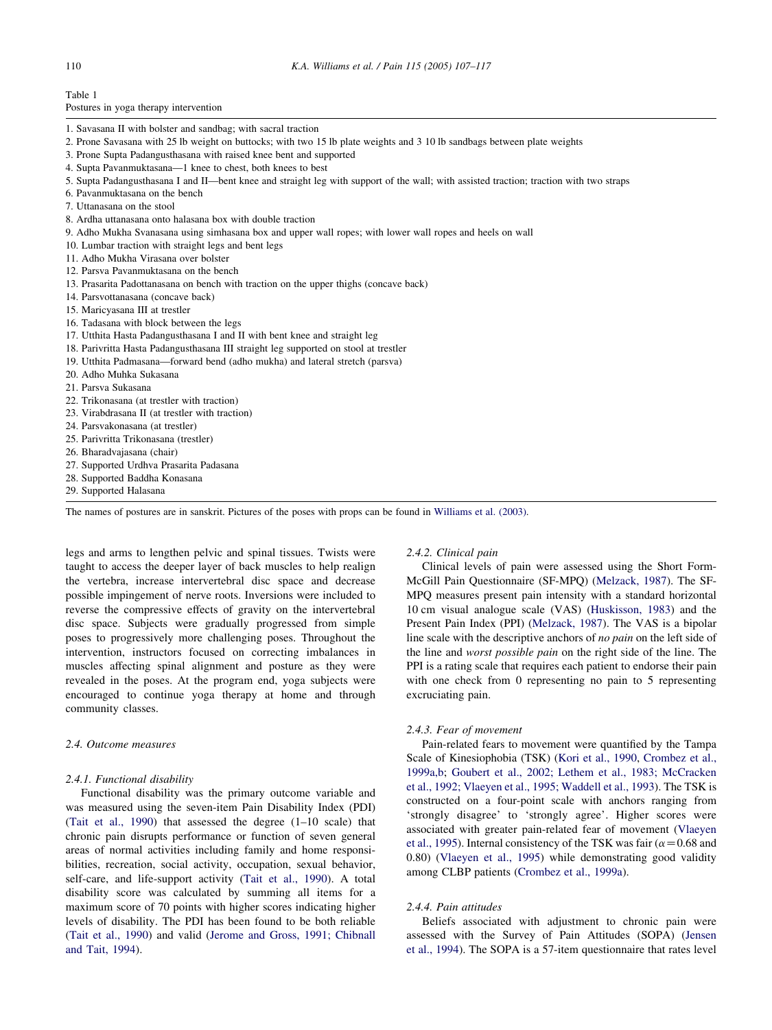<span id="page-3-0"></span>Table 1 Postures in yoga therapy intervention

- 1. Savasana II with bolster and sandbag; with sacral traction
- 2. Prone Savasana with 25 lb weight on buttocks; with two 15 lb plate weights and 3 10 lb sandbags between plate weights
- 3. Prone Supta Padangusthasana with raised knee bent and supported
- 4. Supta Pavanmuktasana—1 knee to chest, both knees to best
- 5. Supta Padangusthasana I and II—bent knee and straight leg with support of the wall; with assisted traction; traction with two straps
- 6. Pavanmuktasana on the bench
- 7. Uttanasana on the stool
- 8. Ardha uttanasana onto halasana box with double traction
- 9. Adho Mukha Svanasana using simhasana box and upper wall ropes; with lower wall ropes and heels on wall
- 10. Lumbar traction with straight legs and bent legs
- 11. Adho Mukha Virasana over bolster
- 12. Parsva Pavanmuktasana on the bench
- 13. Prasarita Padottanasana on bench with traction on the upper thighs (concave back)
- 14. Parsvottanasana (concave back)
- 15. Maricyasana III at trestler
- 16. Tadasana with block between the legs
- 17. Utthita Hasta Padangusthasana I and II with bent knee and straight leg
- 18. Parivritta Hasta Padangusthasana III straight leg supported on stool at trestler
- 19. Utthita Padmasana—forward bend (adho mukha) and lateral stretch (parsva)
- 20. Adho Muhka Sukasana
- 21. Parsva Sukasana
- 22. Trikonasana (at trestler with traction)
- 23. Virabdrasana II (at trestler with traction)
- 24. Parsvakonasana (at trestler)
- 25. Parivritta Trikonasana (trestler)
- 26. Bharadvajasana (chair)
- 27. Supported Urdhva Prasarita Padasana
- 28. Supported Baddha Konasana
- 29. Supported Halasana

The names of postures are in sanskrit. Pictures of the poses with props can be found in [Williams et al. \(2003\).](#page-10-0)

legs and arms to lengthen pelvic and spinal tissues. Twists were taught to access the deeper layer of back muscles to help realign the vertebra, increase intervertebral disc space and decrease possible impingement of nerve roots. Inversions were included to reverse the compressive effects of gravity on the intervertebral disc space. Subjects were gradually progressed from simple poses to progressively more challenging poses. Throughout the intervention, instructors focused on correcting imbalances in muscles affecting spinal alignment and posture as they were revealed in the poses. At the program end, yoga subjects were encouraged to continue yoga therapy at home and through community classes.

#### 2.4. Outcome measures

#### 2.4.1. Functional disability

Functional disability was the primary outcome variable and was measured using the seven-item Pain Disability Index (PDI) ([Tait et al., 1990](#page-10-0)) that assessed the degree (1–10 scale) that chronic pain disrupts performance or function of seven general areas of normal activities including family and home responsibilities, recreation, social activity, occupation, sexual behavior, self-care, and life-support activity [\(Tait et al., 1990](#page-10-0)). A total disability score was calculated by summing all items for a maximum score of 70 points with higher scores indicating higher levels of disability. The PDI has been found to be both reliable ([Tait et al., 1990](#page-10-0)) and valid [\(Jerome and Gross, 1991; Chibnall](#page-9-0) [and Tait, 1994\)](#page-9-0).

#### 2.4.2. Clinical pain

Clinical levels of pain were assessed using the Short Form-McGill Pain Questionnaire (SF-MPQ) ([Melzack, 1987](#page-9-0)). The SF-MPQ measures present pain intensity with a standard horizontal 10 cm visual analogue scale (VAS) ([Huskisson, 1983](#page-9-0)) and the Present Pain Index (PPI) ([Melzack, 1987\)](#page-9-0). The VAS is a bipolar line scale with the descriptive anchors of no pain on the left side of the line and worst possible pain on the right side of the line. The PPI is a rating scale that requires each patient to endorse their pain with one check from 0 representing no pain to 5 representing excruciating pain.

#### 2.4.3. Fear of movement

Pain-related fears to movement were quantified by the Tampa Scale of Kinesiophobia (TSK) ([Kori et al., 1990](#page-9-0), [Crombez et al.,](#page-9-0) [1999a,b](#page-9-0); [Goubert et al., 2002; Lethem et al., 1983; McCracken](#page-9-0) [et al., 1992; Vlaeyen et al., 1995; Waddell et al., 1993\)](#page-9-0). The TSK is constructed on a four-point scale with anchors ranging from 'strongly disagree' to 'strongly agree'. Higher scores were associated with greater pain-related fear of movement ([Vlaeyen](#page-10-0) [et al., 1995\)](#page-10-0). Internal consistency of the TSK was fair ( $\alpha$  = 0.68 and 0.80) [\(Vlaeyen et al., 1995\)](#page-10-0) while demonstrating good validity among CLBP patients ([Crombez et al., 1999a](#page-9-0)).

## 2.4.4. Pain attitudes

Beliefs associated with adjustment to chronic pain were assessed with the Survey of Pain Attitudes (SOPA) ([Jensen](#page-9-0) [et al., 1994](#page-9-0)). The SOPA is a 57-item questionnaire that rates level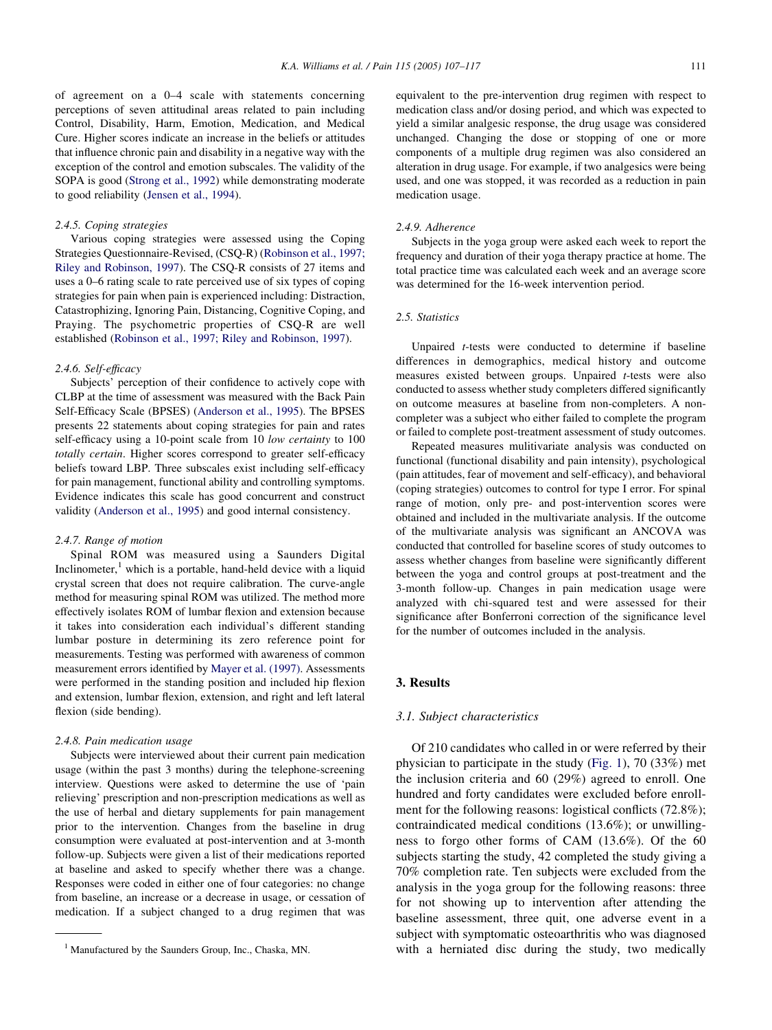of agreement on a 0–4 scale with statements concerning perceptions of seven attitudinal areas related to pain including Control, Disability, Harm, Emotion, Medication, and Medical Cure. Higher scores indicate an increase in the beliefs or attitudes that influence chronic pain and disability in a negative way with the exception of the control and emotion subscales. The validity of the SOPA is good ([Strong et al., 1992](#page-10-0)) while demonstrating moderate to good reliability ([Jensen et al., 1994](#page-9-0)).

#### 2.4.5. Coping strategies

Various coping strategies were assessed using the Coping Strategies Questionnaire-Revised, (CSQ-R) ([Robinson et al., 1997;](#page-10-0) [Riley and Robinson, 1997](#page-10-0)). The CSQ-R consists of 27 items and uses a 0–6 rating scale to rate perceived use of six types of coping strategies for pain when pain is experienced including: Distraction, Catastrophizing, Ignoring Pain, Distancing, Cognitive Coping, and Praying. The psychometric properties of CSQ-R are well established [\(Robinson et al., 1997; Riley and Robinson, 1997](#page-10-0)).

#### 2.4.6. Self-efficacy

Subjects' perception of their confidence to actively cope with CLBP at the time of assessment was measured with the Back Pain Self-Efficacy Scale (BPSES) [\(Anderson et al., 1995\)](#page-9-0). The BPSES presents 22 statements about coping strategies for pain and rates self-efficacy using a 10-point scale from 10 low certainty to 100 totally certain. Higher scores correspond to greater self-efficacy beliefs toward LBP. Three subscales exist including self-efficacy for pain management, functional ability and controlling symptoms. Evidence indicates this scale has good concurrent and construct validity ([Anderson et al., 1995](#page-9-0)) and good internal consistency.

#### 2.4.7. Range of motion

Spinal ROM was measured using a Saunders Digital Inclinometer, $<sup>1</sup>$  which is a portable, hand-held device with a liquid</sup> crystal screen that does not require calibration. The curve-angle method for measuring spinal ROM was utilized. The method more effectively isolates ROM of lumbar flexion and extension because it takes into consideration each individual's different standing lumbar posture in determining its zero reference point for measurements. Testing was performed with awareness of common measurement errors identified by [Mayer et al. \(1997\).](#page-9-0) Assessments were performed in the standing position and included hip flexion and extension, lumbar flexion, extension, and right and left lateral flexion (side bending).

## 2.4.8. Pain medication usage

Subjects were interviewed about their current pain medication usage (within the past 3 months) during the telephone-screening interview. Questions were asked to determine the use of 'pain relieving' prescription and non-prescription medications as well as the use of herbal and dietary supplements for pain management prior to the intervention. Changes from the baseline in drug consumption were evaluated at post-intervention and at 3-month follow-up. Subjects were given a list of their medications reported at baseline and asked to specify whether there was a change. Responses were coded in either one of four categories: no change from baseline, an increase or a decrease in usage, or cessation of medication. If a subject changed to a drug regimen that was

equivalent to the pre-intervention drug regimen with respect to medication class and/or dosing period, and which was expected to yield a similar analgesic response, the drug usage was considered unchanged. Changing the dose or stopping of one or more components of a multiple drug regimen was also considered an alteration in drug usage. For example, if two analgesics were being used, and one was stopped, it was recorded as a reduction in pain medication usage.

## 2.4.9. Adherence

Subjects in the yoga group were asked each week to report the frequency and duration of their yoga therapy practice at home. The total practice time was calculated each week and an average score was determined for the 16-week intervention period.

## 2.5. Statistics

Unpaired t-tests were conducted to determine if baseline differences in demographics, medical history and outcome measures existed between groups. Unpaired t-tests were also conducted to assess whether study completers differed significantly on outcome measures at baseline from non-completers. A noncompleter was a subject who either failed to complete the program or failed to complete post-treatment assessment of study outcomes.

Repeated measures mulitivariate analysis was conducted on functional (functional disability and pain intensity), psychological (pain attitudes, fear of movement and self-efficacy), and behavioral (coping strategies) outcomes to control for type I error. For spinal range of motion, only pre- and post-intervention scores were obtained and included in the multivariate analysis. If the outcome of the multivariate analysis was significant an ANCOVA was conducted that controlled for baseline scores of study outcomes to assess whether changes from baseline were significantly different between the yoga and control groups at post-treatment and the 3-month follow-up. Changes in pain medication usage were analyzed with chi-squared test and were assessed for their significance after Bonferroni correction of the significance level for the number of outcomes included in the analysis.

## 3. Results

#### 3.1. Subject characteristics

Of 210 candidates who called in or were referred by their physician to participate in the study [\(Fig. 1](#page-2-0)), 70 (33%) met the inclusion criteria and 60 (29%) agreed to enroll. One hundred and forty candidates were excluded before enrollment for the following reasons: logistical conflicts (72.8%); contraindicated medical conditions (13.6%); or unwillingness to forgo other forms of CAM (13.6%). Of the 60 subjects starting the study, 42 completed the study giving a 70% completion rate. Ten subjects were excluded from the analysis in the yoga group for the following reasons: three for not showing up to intervention after attending the baseline assessment, three quit, one adverse event in a subject with symptomatic osteoarthritis who was diagnosed <sup>1</sup> Manufactured by the Saunders Group, Inc., Chaska, MN. With a herniated disc during the study, two medically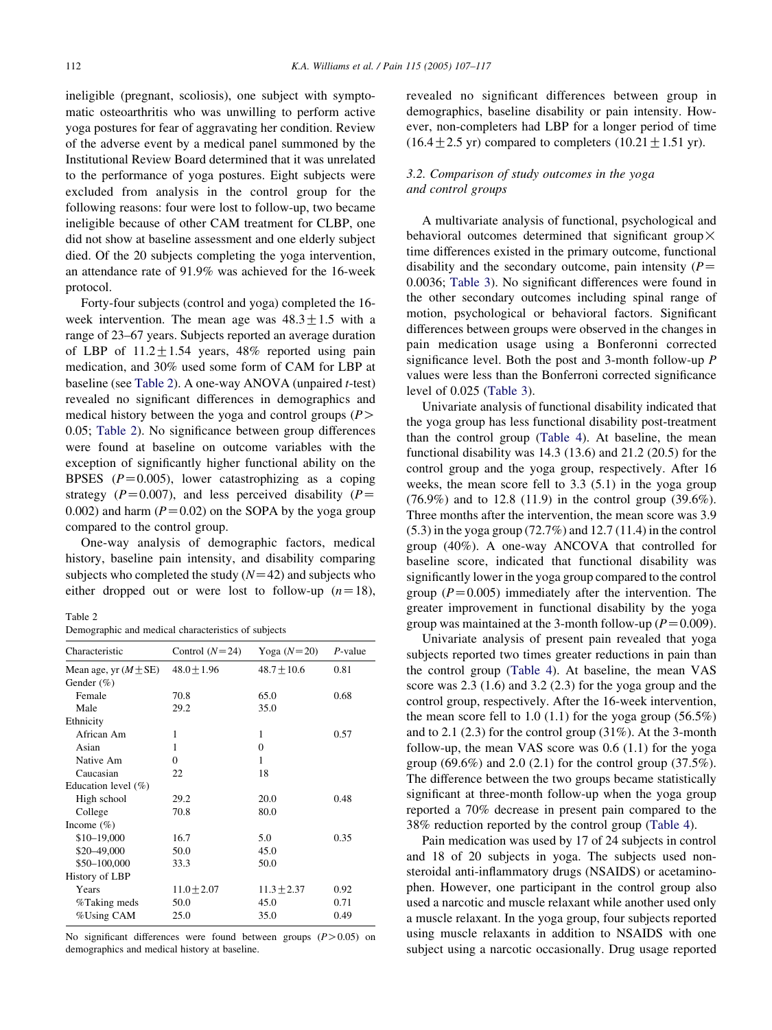ineligible (pregnant, scoliosis), one subject with symptomatic osteoarthritis who was unwilling to perform active yoga postures for fear of aggravating her condition. Review of the adverse event by a medical panel summoned by the Institutional Review Board determined that it was unrelated to the performance of yoga postures. Eight subjects were excluded from analysis in the control group for the following reasons: four were lost to follow-up, two became ineligible because of other CAM treatment for CLBP, one did not show at baseline assessment and one elderly subject died. Of the 20 subjects completing the yoga intervention, an attendance rate of 91.9% was achieved for the 16-week protocol.

Forty-four subjects (control and yoga) completed the 16 week intervention. The mean age was  $48.3 \pm 1.5$  with a range of 23–67 years. Subjects reported an average duration of LBP of  $11.2 \pm 1.54$  years, 48% reported using pain medication, and 30% used some form of CAM for LBP at baseline (see Table 2). A one-way ANOVA (unpaired  $t$ -test) revealed no significant differences in demographics and medical history between the yoga and control groups  $(P>$ 0.05; Table 2). No significance between group differences were found at baseline on outcome variables with the exception of significantly higher functional ability on the BPSES  $(P=0.005)$ , lower catastrophizing as a coping strategy ( $P=0.007$ ), and less perceived disability ( $P=$ 0.002) and harm  $(P=0.02)$  on the SOPA by the yoga group compared to the control group.

One-way analysis of demographic factors, medical history, baseline pain intensity, and disability comparing subjects who completed the study  $(N=42)$  and subjects who either dropped out or were lost to follow-up  $(n=18)$ ,

Table 2

Demographic and medical characteristics of subjects

| Characteristic            | Control $(N=24)$ | Yoga $(N=20)$   | $P$ -value |
|---------------------------|------------------|-----------------|------------|
| Mean age, yr $(M \pm SE)$ | $48.0 \pm 1.96$  | $48.7 \pm 10.6$ | 0.81       |
| Gender $(\%)$             |                  |                 |            |
| Female                    | 70.8             | 65.0            | 0.68       |
| Male                      | 29.2             | 35.0            |            |
| Ethnicity                 |                  |                 |            |
| African Am                | 1                | 1               | 0.57       |
| Asian                     | 1                | $\Omega$        |            |
| Native Am                 | 0                | 1               |            |
| Caucasian                 | 22               | 18              |            |
| Education level $(\%)$    |                  |                 |            |
| High school               | 29.2             | 20.0            | 0.48       |
| College                   | 70.8             | 80.0            |            |
| Income $(\%)$             |                  |                 |            |
| \$10-19,000               | 16.7             | 5.0             | 0.35       |
| \$20-49,000               | 50.0             | 45.0            |            |
| \$50-100,000              | 33.3             | 50.0            |            |
| History of LBP            |                  |                 |            |
| Years                     | $11.0 \pm 2.07$  | $11.3 \pm 2.37$ | 0.92       |
| %Taking meds              | 50.0             | 45.0            | 0.71       |
| %Using CAM                | 25.0             | 35.0            | 0.49       |

No significant differences were found between groups  $(P > 0.05)$  on demographics and medical history at baseline.

revealed no significant differences between group in demographics, baseline disability or pain intensity. However, non-completers had LBP for a longer period of time  $(16.4 \pm 2.5 \text{ yr})$  compared to completers  $(10.21 \pm 1.51 \text{ yr})$ .

## 3.2. Comparison of study outcomes in the yoga and control groups

A multivariate analysis of functional, psychological and behavioral outcomes determined that significant group  $\times$ time differences existed in the primary outcome, functional disability and the secondary outcome, pain intensity  $(P=$ 0.0036; [Table 3](#page-6-0)). No significant differences were found in the other secondary outcomes including spinal range of motion, psychological or behavioral factors. Significant differences between groups were observed in the changes in pain medication usage using a Bonferonni corrected significance level. Both the post and 3-month follow-up P values were less than the Bonferroni corrected significance level of 0.025 [\(Table 3](#page-6-0)).

Univariate analysis of functional disability indicated that the yoga group has less functional disability post-treatment than the control group ([Table 4](#page-6-0)). At baseline, the mean functional disability was 14.3 (13.6) and 21.2 (20.5) for the control group and the yoga group, respectively. After 16 weeks, the mean score fell to 3.3 (5.1) in the yoga group (76.9%) and to 12.8 (11.9) in the control group (39.6%). Three months after the intervention, the mean score was 3.9 (5.3) in the yoga group (72.7%) and 12.7 (11.4) in the control group (40%). A one-way ANCOVA that controlled for baseline score, indicated that functional disability was significantly lower in the yoga group compared to the control group ( $P=0.005$ ) immediately after the intervention. The greater improvement in functional disability by the yoga group was maintained at the 3-month follow-up ( $P=0.009$ ).

Univariate analysis of present pain revealed that yoga subjects reported two times greater reductions in pain than the control group ([Table 4](#page-6-0)). At baseline, the mean VAS score was 2.3 (1.6) and 3.2 (2.3) for the yoga group and the control group, respectively. After the 16-week intervention, the mean score fell to 1.0 (1.1) for the yoga group  $(56.5\%)$ and to 2.1  $(2.3)$  for the control group  $(31\%)$ . At the 3-month follow-up, the mean VAS score was 0.6 (1.1) for the yoga group  $(69.6\%)$  and  $2.0$   $(2.1)$  for the control group  $(37.5\%)$ . The difference between the two groups became statistically significant at three-month follow-up when the yoga group reported a 70% decrease in present pain compared to the 38% reduction reported by the control group [\(Table 4](#page-6-0)).

Pain medication was used by 17 of 24 subjects in control and 18 of 20 subjects in yoga. The subjects used nonsteroidal anti-inflammatory drugs (NSAIDS) or acetaminophen. However, one participant in the control group also used a narcotic and muscle relaxant while another used only a muscle relaxant. In the yoga group, four subjects reported using muscle relaxants in addition to NSAIDS with one subject using a narcotic occasionally. Drug usage reported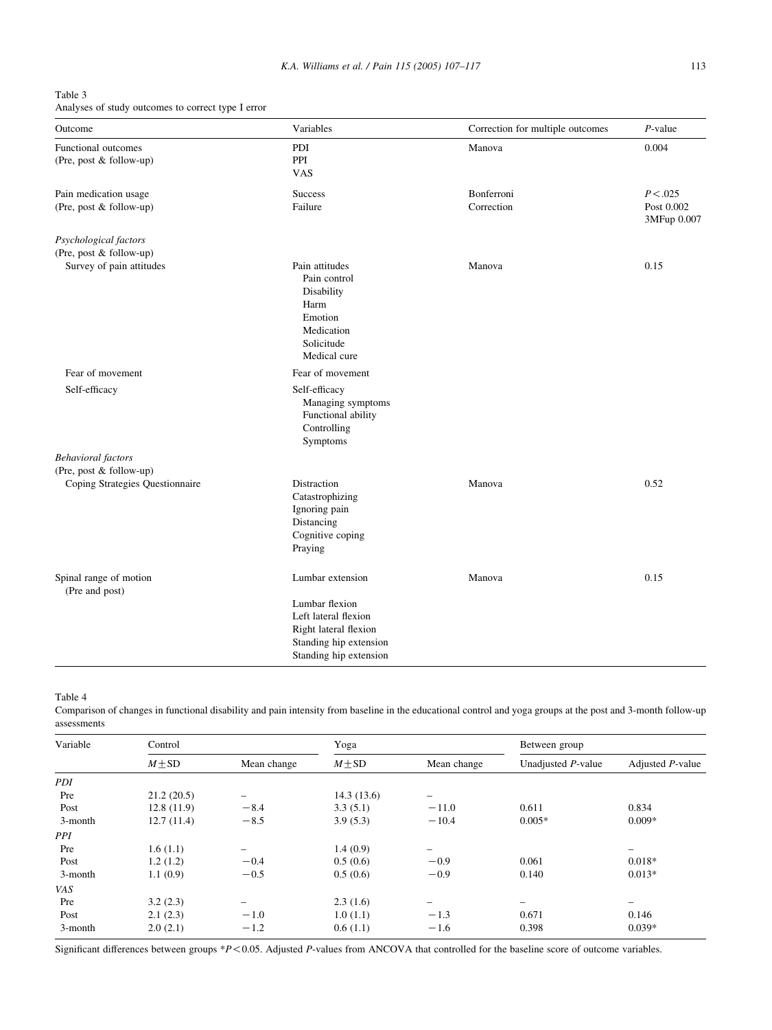K.A. Williams et al. / Pain 115 (2005) 107-117 113

<span id="page-6-0"></span>

| Table 3                                            |  |
|----------------------------------------------------|--|
| Analyses of study outcomes to correct type I error |  |

| Outcome                                               | Variables                                                                                                           | Correction for multiple outcomes | $P$ -value                             |
|-------------------------------------------------------|---------------------------------------------------------------------------------------------------------------------|----------------------------------|----------------------------------------|
| <b>Functional outcomes</b><br>(Pre, post & follow-up) | PDI<br>PPI<br><b>VAS</b>                                                                                            | Manova                           | 0.004                                  |
| Pain medication usage<br>(Pre, post & follow-up)      | <b>Success</b><br>Failure                                                                                           | Bonferroni<br>Correction         | P < 0.025<br>Post 0.002<br>3MFup 0.007 |
| Psychological factors<br>(Pre, post & follow-up)      |                                                                                                                     |                                  |                                        |
| Survey of pain attitudes                              | Pain attitudes<br>Pain control<br>Disability<br>Harm<br>Emotion<br>Medication<br>Solicitude<br>Medical cure         | Manova                           | 0.15                                   |
| Fear of movement                                      | Fear of movement                                                                                                    |                                  |                                        |
| Self-efficacy                                         | Self-efficacy<br>Managing symptoms<br>Functional ability<br>Controlling<br>Symptoms                                 |                                  |                                        |
| <b>Behavioral</b> factors                             |                                                                                                                     |                                  |                                        |
| (Pre, post & follow-up)                               |                                                                                                                     |                                  |                                        |
| Coping Strategies Questionnaire                       | Distraction<br>Catastrophizing<br>Ignoring pain<br>Distancing<br>Cognitive coping<br>Praying                        | Manova                           | 0.52                                   |
| Spinal range of motion<br>(Pre and post)              | Lumbar extension                                                                                                    | Manova                           | 0.15                                   |
|                                                       | Lumbar flexion<br>Left lateral flexion<br>Right lateral flexion<br>Standing hip extension<br>Standing hip extension |                                  |                                        |

Table 4

Comparison of changes in functional disability and pain intensity from baseline in the educational control and yoga groups at the post and 3-month follow-up assessments

| Variable | Control    |                          |            | Yoga                     |                    | Between group            |  |
|----------|------------|--------------------------|------------|--------------------------|--------------------|--------------------------|--|
|          | $M \pm SD$ | Mean change              | $M \pm SD$ | Mean change              | Unadjusted P-value | Adjusted P-value         |  |
| PDI      |            |                          |            |                          |                    |                          |  |
| Pre      | 21.2(20.5) |                          | 14.3(13.6) | -                        |                    |                          |  |
| Post     | 12.8(11.9) | $-8.4$                   | 3.3(5.1)   | $-11.0$                  | 0.611              | 0.834                    |  |
| 3-month  | 12.7(11.4) | $-8.5$                   | 3.9(5.3)   | $-10.4$                  | $0.005*$           | $0.009*$                 |  |
| PPI      |            |                          |            |                          |                    |                          |  |
| Pre      | 1.6(1.1)   |                          | 1.4(0.9)   |                          |                    |                          |  |
| Post     | 1.2(1.2)   | $-0.4$                   | 0.5(0.6)   | $-0.9$                   | 0.061              | $0.018*$                 |  |
| 3-month  | 1.1(0.9)   | $-0.5$                   | 0.5(0.6)   | $-0.9$                   | 0.140              | $0.013*$                 |  |
| VAS      |            |                          |            |                          |                    |                          |  |
| Pre      | 3.2(2.3)   | $\overline{\phantom{0}}$ | 2.3(1.6)   | $\overline{\phantom{0}}$ |                    | $\overline{\phantom{0}}$ |  |
| Post     | 2.1(2.3)   | $-1.0$                   | 1.0(1.1)   | $-1.3$                   | 0.671              | 0.146                    |  |
| 3-month  | 2.0(2.1)   | $-1.2$                   | 0.6(1.1)   | $-1.6$                   | 0.398              | $0.039*$                 |  |

Significant differences between groups  $*P$ <0.05. Adjusted P-values from ANCOVA that controlled for the baseline score of outcome variables.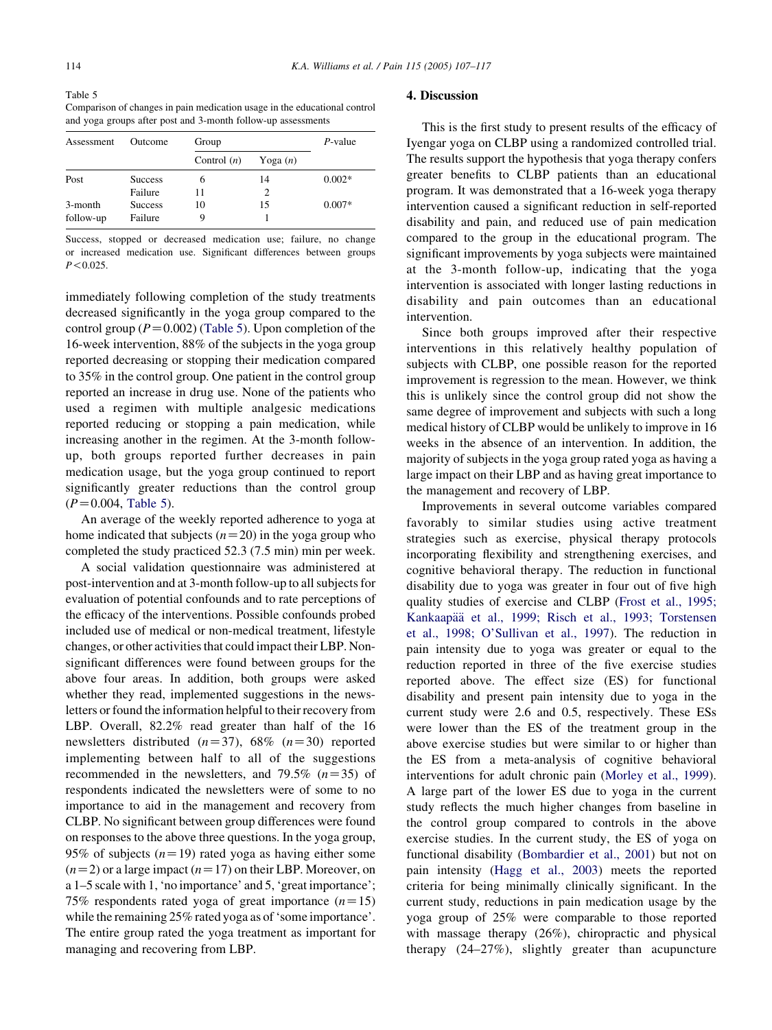Table 5 Comparison of changes in pain medication usage in the educational control and yoga groups after post and 3-month follow-up assessments

| Assessment | Outcome        | Group         | P-value    |          |
|------------|----------------|---------------|------------|----------|
|            |                | Control $(n)$ | Yoga $(n)$ |          |
| Post       | <b>Success</b> | 6             | 14         | $0.002*$ |
|            | Failure        | 11            | 2          |          |
| 3-month    | <b>Success</b> | 10            | 15         | $0.007*$ |
| follow-up  | Failure        |               |            |          |

Success, stopped or decreased medication use; failure, no change or increased medication use. Significant differences between groups  $P < 0.025$ .

immediately following completion of the study treatments decreased significantly in the yoga group compared to the control group ( $P=0.002$ ) (Table 5). Upon completion of the 16-week intervention, 88% of the subjects in the yoga group reported decreasing or stopping their medication compared to 35% in the control group. One patient in the control group reported an increase in drug use. None of the patients who used a regimen with multiple analgesic medications reported reducing or stopping a pain medication, while increasing another in the regimen. At the 3-month followup, both groups reported further decreases in pain medication usage, but the yoga group continued to report significantly greater reductions than the control group  $(P=0.004,$  Table 5).

An average of the weekly reported adherence to yoga at home indicated that subjects  $(n=20)$  in the yoga group who completed the study practiced 52.3 (7.5 min) min per week.

A social validation questionnaire was administered at post-intervention and at 3-month follow-up to all subjects for evaluation of potential confounds and to rate perceptions of the efficacy of the interventions. Possible confounds probed included use of medical or non-medical treatment, lifestyle changes, or other activities that could impact their LBP. Nonsignificant differences were found between groups for the above four areas. In addition, both groups were asked whether they read, implemented suggestions in the newsletters or found the information helpful to their recovery from LBP. Overall, 82.2% read greater than half of the 16 newsletters distributed  $(n=37)$ , 68%  $(n=30)$  reported implementing between half to all of the suggestions recommended in the newsletters, and 79.5%  $(n=35)$  of respondents indicated the newsletters were of some to no importance to aid in the management and recovery from CLBP. No significant between group differences were found on responses to the above three questions. In the yoga group, 95% of subjects  $(n=19)$  rated yoga as having either some  $(n=2)$  or a large impact  $(n=17)$  on their LBP. Moreover, on a 1–5 scale with 1, 'no importance' and 5, 'great importance'; 75% respondents rated yoga of great importance  $(n=15)$ while the remaining 25% rated yoga as of 'some importance'. The entire group rated the yoga treatment as important for managing and recovering from LBP.

## 4. Discussion

This is the first study to present results of the efficacy of Iyengar yoga on CLBP using a randomized controlled trial. The results support the hypothesis that yoga therapy confers greater benefits to CLBP patients than an educational program. It was demonstrated that a 16-week yoga therapy intervention caused a significant reduction in self-reported disability and pain, and reduced use of pain medication compared to the group in the educational program. The significant improvements by yoga subjects were maintained at the 3-month follow-up, indicating that the yoga intervention is associated with longer lasting reductions in disability and pain outcomes than an educational intervention.

Since both groups improved after their respective interventions in this relatively healthy population of subjects with CLBP, one possible reason for the reported improvement is regression to the mean. However, we think this is unlikely since the control group did not show the same degree of improvement and subjects with such a long medical history of CLBP would be unlikely to improve in 16 weeks in the absence of an intervention. In addition, the majority of subjects in the yoga group rated yoga as having a large impact on their LBP and as having great importance to the management and recovery of LBP.

Improvements in several outcome variables compared favorably to similar studies using active treatment strategies such as exercise, physical therapy protocols incorporating flexibility and strengthening exercises, and cognitive behavioral therapy. The reduction in functional disability due to yoga was greater in four out of five high quality studies of exercise and CLBP ([Frost et al., 1995;](#page-9-0) Kankaapää [et al., 1999; Risch et al., 1993; Torstensen](#page-9-0) [et al., 1998; O'Sullivan et al., 1997](#page-9-0)). The reduction in pain intensity due to yoga was greater or equal to the reduction reported in three of the five exercise studies reported above. The effect size (ES) for functional disability and present pain intensity due to yoga in the current study were 2.6 and 0.5, respectively. These ESs were lower than the ES of the treatment group in the above exercise studies but were similar to or higher than the ES from a meta-analysis of cognitive behavioral interventions for adult chronic pain ([Morley et al., 1999\)](#page-9-0). A large part of the lower ES due to yoga in the current study reflects the much higher changes from baseline in the control group compared to controls in the above exercise studies. In the current study, the ES of yoga on functional disability ([Bombardier et al., 2001](#page-9-0)) but not on pain intensity [\(Hagg et al., 2003](#page-9-0)) meets the reported criteria for being minimally clinically significant. In the current study, reductions in pain medication usage by the yoga group of 25% were comparable to those reported with massage therapy (26%), chiropractic and physical therapy (24–27%), slightly greater than acupuncture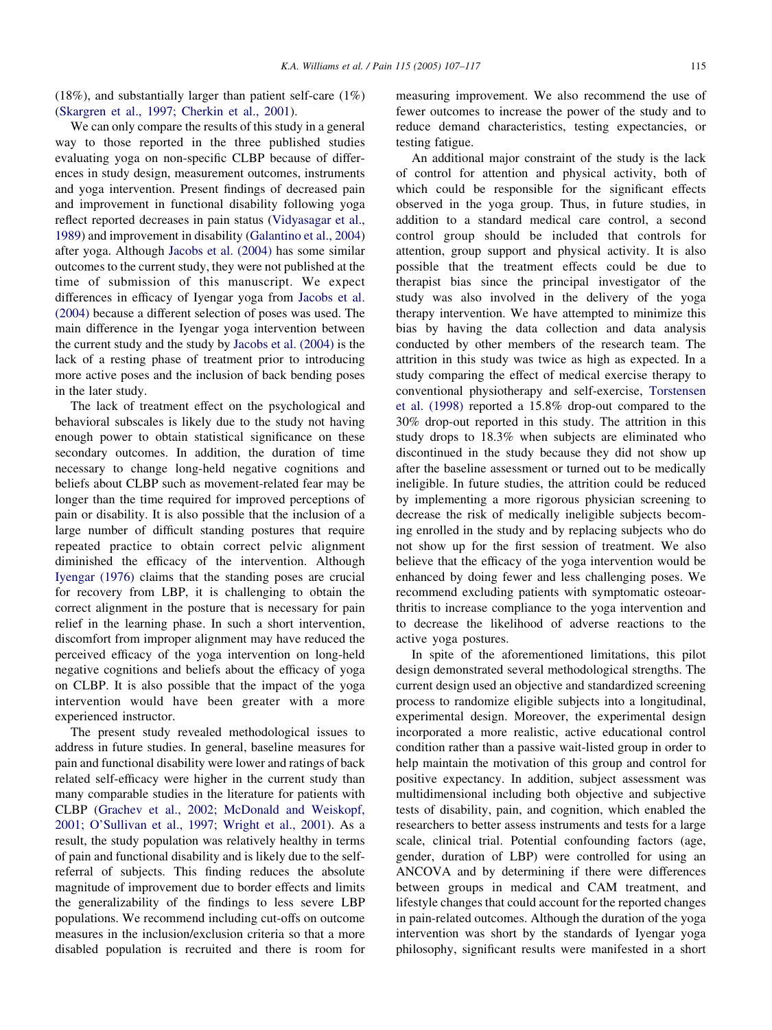(18%), and substantially larger than patient self-care (1%) ([Skargren et al., 1997; Cherkin et al., 2001\)](#page-10-0).

We can only compare the results of this study in a general way to those reported in the three published studies evaluating yoga on non-specific CLBP because of differences in study design, measurement outcomes, instruments and yoga intervention. Present findings of decreased pain and improvement in functional disability following yoga reflect reported decreases in pain status [\(Vidyasagar et al.,](#page-10-0) [1989](#page-10-0)) and improvement in disability ([Galantino et al., 2004](#page-9-0)) after yoga. Although [Jacobs et al. \(2004\)](#page-9-0) has some similar outcomes to the current study, they were not published at the time of submission of this manuscript. We expect differences in efficacy of Iyengar yoga from [Jacobs et al.](#page-9-0) [\(2004\)](#page-9-0) because a different selection of poses was used. The main difference in the Iyengar yoga intervention between the current study and the study by [Jacobs et al. \(2004\)](#page-9-0) is the lack of a resting phase of treatment prior to introducing more active poses and the inclusion of back bending poses in the later study.

The lack of treatment effect on the psychological and behavioral subscales is likely due to the study not having enough power to obtain statistical significance on these secondary outcomes. In addition, the duration of time necessary to change long-held negative cognitions and beliefs about CLBP such as movement-related fear may be longer than the time required for improved perceptions of pain or disability. It is also possible that the inclusion of a large number of difficult standing postures that require repeated practice to obtain correct pelvic alignment diminished the efficacy of the intervention. Although [Iyengar \(1976\)](#page-9-0) claims that the standing poses are crucial for recovery from LBP, it is challenging to obtain the correct alignment in the posture that is necessary for pain relief in the learning phase. In such a short intervention, discomfort from improper alignment may have reduced the perceived efficacy of the yoga intervention on long-held negative cognitions and beliefs about the efficacy of yoga on CLBP. It is also possible that the impact of the yoga intervention would have been greater with a more experienced instructor.

The present study revealed methodological issues to address in future studies. In general, baseline measures for pain and functional disability were lower and ratings of back related self-efficacy were higher in the current study than many comparable studies in the literature for patients with CLBP ([Grachev et al., 2002; McDonald and Weiskopf,](#page-9-0) [2001; O'Sullivan et al., 1997; Wright et al., 2001](#page-9-0)). As a result, the study population was relatively healthy in terms of pain and functional disability and is likely due to the selfreferral of subjects. This finding reduces the absolute magnitude of improvement due to border effects and limits the generalizability of the findings to less severe LBP populations. We recommend including cut-offs on outcome measures in the inclusion/exclusion criteria so that a more disabled population is recruited and there is room for

measuring improvement. We also recommend the use of fewer outcomes to increase the power of the study and to reduce demand characteristics, testing expectancies, or testing fatigue.

An additional major constraint of the study is the lack of control for attention and physical activity, both of which could be responsible for the significant effects observed in the yoga group. Thus, in future studies, in addition to a standard medical care control, a second control group should be included that controls for attention, group support and physical activity. It is also possible that the treatment effects could be due to therapist bias since the principal investigator of the study was also involved in the delivery of the yoga therapy intervention. We have attempted to minimize this bias by having the data collection and data analysis conducted by other members of the research team. The attrition in this study was twice as high as expected. In a study comparing the effect of medical exercise therapy to conventional physiotherapy and self-exercise, [Torstensen](#page-10-0) [et al. \(1998\)](#page-10-0) reported a 15.8% drop-out compared to the 30% drop-out reported in this study. The attrition in this study drops to 18.3% when subjects are eliminated who discontinued in the study because they did not show up after the baseline assessment or turned out to be medically ineligible. In future studies, the attrition could be reduced by implementing a more rigorous physician screening to decrease the risk of medically ineligible subjects becoming enrolled in the study and by replacing subjects who do not show up for the first session of treatment. We also believe that the efficacy of the yoga intervention would be enhanced by doing fewer and less challenging poses. We recommend excluding patients with symptomatic osteoarthritis to increase compliance to the yoga intervention and to decrease the likelihood of adverse reactions to the active yoga postures.

In spite of the aforementioned limitations, this pilot design demonstrated several methodological strengths. The current design used an objective and standardized screening process to randomize eligible subjects into a longitudinal, experimental design. Moreover, the experimental design incorporated a more realistic, active educational control condition rather than a passive wait-listed group in order to help maintain the motivation of this group and control for positive expectancy. In addition, subject assessment was multidimensional including both objective and subjective tests of disability, pain, and cognition, which enabled the researchers to better assess instruments and tests for a large scale, clinical trial. Potential confounding factors (age, gender, duration of LBP) were controlled for using an ANCOVA and by determining if there were differences between groups in medical and CAM treatment, and lifestyle changes that could account for the reported changes in pain-related outcomes. Although the duration of the yoga intervention was short by the standards of Iyengar yoga philosophy, significant results were manifested in a short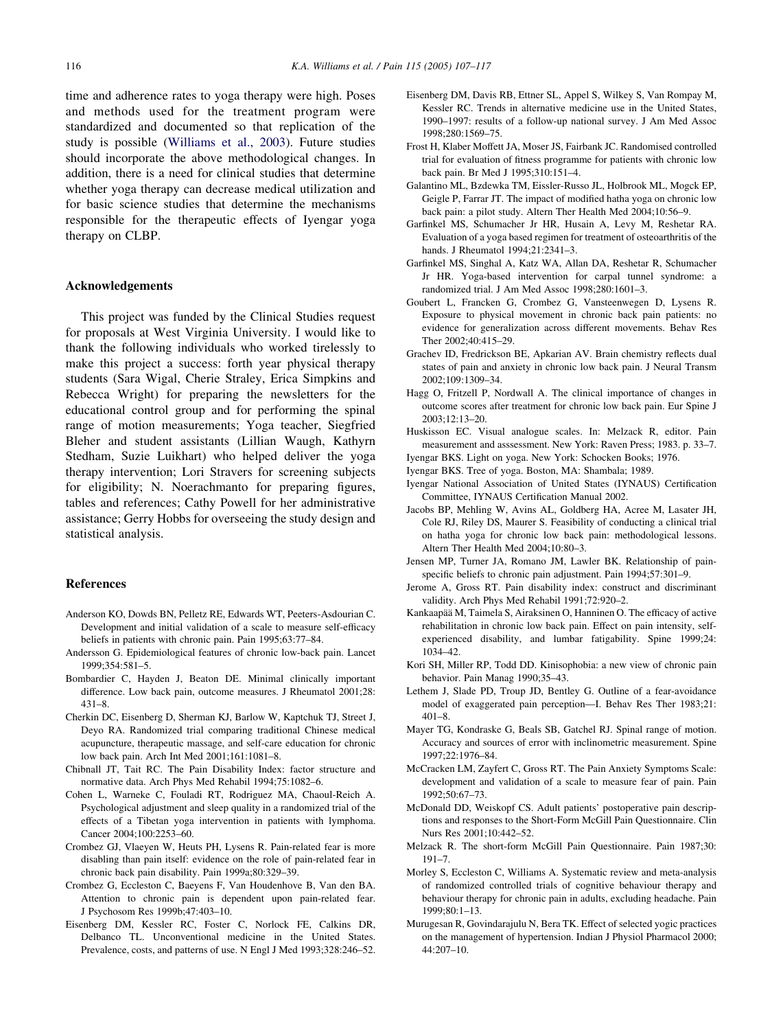<span id="page-9-0"></span>time and adherence rates to yoga therapy were high. Poses and methods used for the treatment program were standardized and documented so that replication of the study is possible ([Williams et al., 2003](#page-10-0)). Future studies should incorporate the above methodological changes. In addition, there is a need for clinical studies that determine whether yoga therapy can decrease medical utilization and for basic science studies that determine the mechanisms responsible for the therapeutic effects of Iyengar yoga therapy on CLBP.

## Acknowledgements

This project was funded by the Clinical Studies request for proposals at West Virginia University. I would like to thank the following individuals who worked tirelessly to make this project a success: forth year physical therapy students (Sara Wigal, Cherie Straley, Erica Simpkins and Rebecca Wright) for preparing the newsletters for the educational control group and for performing the spinal range of motion measurements; Yoga teacher, Siegfried Bleher and student assistants (Lillian Waugh, Kathyrn Stedham, Suzie Luikhart) who helped deliver the yoga therapy intervention; Lori Stravers for screening subjects for eligibility; N. Noerachmanto for preparing figures, tables and references; Cathy Powell for her administrative assistance; Gerry Hobbs for overseeing the study design and statistical analysis.

## References

- Anderson KO, Dowds BN, Pelletz RE, Edwards WT, Peeters-Asdourian C. Development and initial validation of a scale to measure self-efficacy beliefs in patients with chronic pain. Pain 1995;63:77–84.
- Andersson G. Epidemiological features of chronic low-back pain. Lancet 1999;354:581–5.
- Bombardier C, Hayden J, Beaton DE. Minimal clinically important difference. Low back pain, outcome measures. J Rheumatol 2001;28: 431–8.
- Cherkin DC, Eisenberg D, Sherman KJ, Barlow W, Kaptchuk TJ, Street J, Deyo RA. Randomized trial comparing traditional Chinese medical acupuncture, therapeutic massage, and self-care education for chronic low back pain. Arch Int Med 2001;161:1081–8.
- Chibnall JT, Tait RC. The Pain Disability Index: factor structure and normative data. Arch Phys Med Rehabil 1994;75:1082–6.
- Cohen L, Warneke C, Fouladi RT, Rodriguez MA, Chaoul-Reich A. Psychological adjustment and sleep quality in a randomized trial of the effects of a Tibetan yoga intervention in patients with lymphoma. Cancer 2004;100:2253–60.
- Crombez GJ, Vlaeyen W, Heuts PH, Lysens R. Pain-related fear is more disabling than pain itself: evidence on the role of pain-related fear in chronic back pain disability. Pain 1999a;80:329–39.
- Crombez G, Eccleston C, Baeyens F, Van Houdenhove B, Van den BA. Attention to chronic pain is dependent upon pain-related fear. J Psychosom Res 1999b;47:403–10.
- Eisenberg DM, Kessler RC, Foster C, Norlock FE, Calkins DR, Delbanco TL. Unconventional medicine in the United States. Prevalence, costs, and patterns of use. N Engl J Med 1993;328:246–52.
- Eisenberg DM, Davis RB, Ettner SL, Appel S, Wilkey S, Van Rompay M, Kessler RC. Trends in alternative medicine use in the United States, 1990–1997: results of a follow-up national survey. J Am Med Assoc 1998;280:1569–75.
- Frost H, Klaber Moffett JA, Moser JS, Fairbank JC. Randomised controlled trial for evaluation of fitness programme for patients with chronic low back pain. Br Med J 1995;310:151–4.
- Galantino ML, Bzdewka TM, Eissler-Russo JL, Holbrook ML, Mogck EP, Geigle P, Farrar JT. The impact of modified hatha yoga on chronic low back pain: a pilot study. Altern Ther Health Med 2004;10:56–9.
- Garfinkel MS, Schumacher Jr HR, Husain A, Levy M, Reshetar RA. Evaluation of a yoga based regimen for treatment of osteoarthritis of the hands. J Rheumatol 1994;21:2341–3.
- Garfinkel MS, Singhal A, Katz WA, Allan DA, Reshetar R, Schumacher Jr HR. Yoga-based intervention for carpal tunnel syndrome: a randomized trial. J Am Med Assoc 1998;280:1601–3.
- Goubert L, Francken G, Crombez G, Vansteenwegen D, Lysens R. Exposure to physical movement in chronic back pain patients: no evidence for generalization across different movements. Behav Res Ther 2002;40:415–29.
- Grachev ID, Fredrickson BE, Apkarian AV. Brain chemistry reflects dual states of pain and anxiety in chronic low back pain. J Neural Transm 2002;109:1309–34.
- Hagg O, Fritzell P, Nordwall A. The clinical importance of changes in outcome scores after treatment for chronic low back pain. Eur Spine J 2003;12:13–20.
- Huskisson EC. Visual analogue scales. In: Melzack R, editor. Pain measurement and asssessment. New York: Raven Press; 1983. p. 33–7.
- Iyengar BKS. Light on yoga. New York: Schocken Books; 1976.
- Iyengar BKS. Tree of yoga. Boston, MA: Shambala; 1989.
- Iyengar National Association of United States (IYNAUS) Certification Committee, IYNAUS Certification Manual 2002.
- Jacobs BP, Mehling W, Avins AL, Goldberg HA, Acree M, Lasater JH, Cole RJ, Riley DS, Maurer S. Feasibility of conducting a clinical trial on hatha yoga for chronic low back pain: methodological lessons. Altern Ther Health Med 2004;10:80–3.
- Jensen MP, Turner JA, Romano JM, Lawler BK. Relationship of painspecific beliefs to chronic pain adjustment. Pain 1994;57:301–9.
- Jerome A, Gross RT. Pain disability index: construct and discriminant validity. Arch Phys Med Rehabil 1991;72:920–2.
- Kankaapää M, Taimela S, Airaksinen O, Hanninen O. The efficacy of active rehabilitation in chronic low back pain. Effect on pain intensity, selfexperienced disability, and lumbar fatigability. Spine 1999;24: 1034–42.
- Kori SH, Miller RP, Todd DD. Kinisophobia: a new view of chronic pain behavior. Pain Manag 1990;35–43.
- Lethem J, Slade PD, Troup JD, Bentley G. Outline of a fear-avoidance model of exaggerated pain perception—I. Behav Res Ther 1983;21: 401–8.
- Mayer TG, Kondraske G, Beals SB, Gatchel RJ. Spinal range of motion. Accuracy and sources of error with inclinometric measurement. Spine 1997;22:1976–84.
- McCracken LM, Zayfert C, Gross RT. The Pain Anxiety Symptoms Scale: development and validation of a scale to measure fear of pain. Pain 1992;50:67–73.
- McDonald DD, Weiskopf CS. Adult patients' postoperative pain descriptions and responses to the Short-Form McGill Pain Questionnaire. Clin Nurs Res 2001;10:442–52.
- Melzack R. The short-form McGill Pain Questionnaire. Pain 1987;30: 191–7.
- Morley S, Eccleston C, Williams A. Systematic review and meta-analysis of randomized controlled trials of cognitive behaviour therapy and behaviour therapy for chronic pain in adults, excluding headache. Pain 1999;80:1–13.
- Murugesan R, Govindarajulu N, Bera TK. Effect of selected yogic practices on the management of hypertension. Indian J Physiol Pharmacol 2000; 44:207–10.